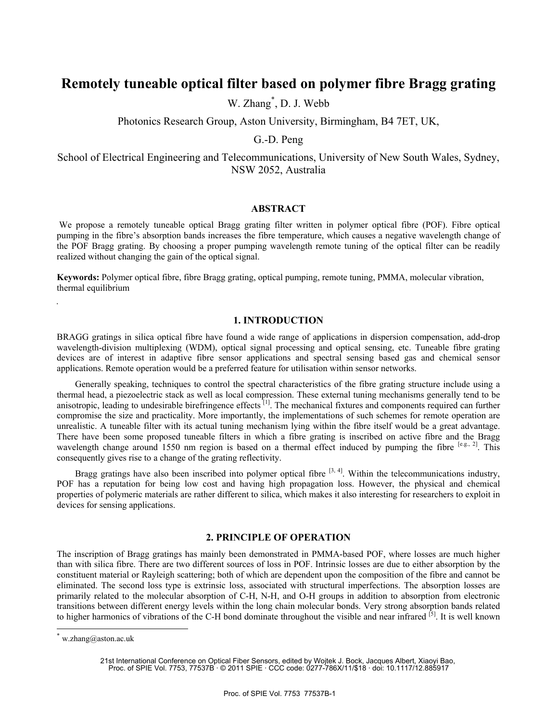# **Remotely tuneable optical filter based on polymer fibre Bragg grating**

W. Zhang<sup>\*</sup>, D. J. Webb

Photonics Research Group, Aston University, Birmingham, B4 7ET, UK,

G.-D. Peng

School of Electrical Engineering and Telecommunications, University of New South Wales, Sydney, NSW 2052, Australia

### **ABSTRACT**

 We propose a remotely tuneable optical Bragg grating filter written in polymer optical fibre (POF). Fibre optical pumping in the fibre's absorption bands increases the fibre temperature, which causes a negative wavelength change of the POF Bragg grating. By choosing a proper pumping wavelength remote tuning of the optical filter can be readily realized without changing the gain of the optical signal.

**Keywords:** Polymer optical fibre, fibre Bragg grating, optical pumping, remote tuning, PMMA, molecular vibration, thermal equilibrium

## **1. INTRODUCTION**

BRAGG gratings in silica optical fibre have found a wide range of applications in dispersion compensation, add-drop wavelength-division multiplexing (WDM), optical signal processing and optical sensing, etc. Tuneable fibre grating devices are of interest in adaptive fibre sensor applications and spectral sensing based gas and chemical sensor applications. Remote operation would be a preferred feature for utilisation within sensor networks.

Generally speaking, techniques to control the spectral characteristics of the fibre grating structure include using a thermal head, a piezoelectric stack as well as local compression. These external tuning mechanisms generally tend to be anisotropic, leading to undesirable birefringence effects<sup>[1]</sup>. The mechanical fixtures and components required can further compromise the size and practicality. More importantly, the implementations of such schemes for remote operation are unrealistic. A tuneable filter with its actual tuning mechanism lying within the fibre itself would be a great advantage. There have been some proposed tuneable filters in which a fibre grating is inscribed on active fibre and the Bragg wavelength change around 1550 nm region is based on a thermal effect induced by pumping the fibre <sup>[e.g., 2]</sup>. This consequently gives rise to a change of the grating reflectivity.

Bragg gratings have also been inscribed into polymer optical fibre  $[3, 4]$ . Within the telecommunications industry, POF has a reputation for being low cost and having high propagation loss. However, the physical and chemical properties of polymeric materials are rather different to silica, which makes it also interesting for researchers to exploit in devices for sensing applications.

## **2. PRINCIPLE OF OPERATION**

The inscription of Bragg gratings has mainly been demonstrated in PMMA-based POF, where losses are much higher than with silica fibre. There are two different sources of loss in POF. Intrinsic losses are due to either absorption by the constituent material or Rayleigh scattering; both of which are dependent upon the composition of the fibre and cannot be eliminated. The second loss type is extrinsic loss, associated with structural imperfections. The absorption losses are primarily related to the molecular absorption of C-H, N-H, and O-H groups in addition to absorption from electronic transitions between different energy levels within the long chain molecular bonds. Very strong absorption bands related to higher harmonics of vibrations of the C-H bond dominate throughout the visible and near infrared [5]. It is well known

l

w.zhang@aston.ac.uk

<sup>21</sup>st International Conference on Optical Fiber Sensors, edited by Wojtek J. Bock, Jacques Albert, Xiaoyi Bao, Proc. of SPIE Vol. 7753, 77537B · © 2011 SPIE · CCC code: 0277-786X/11/\$18 · doi: 10.1117/12.885917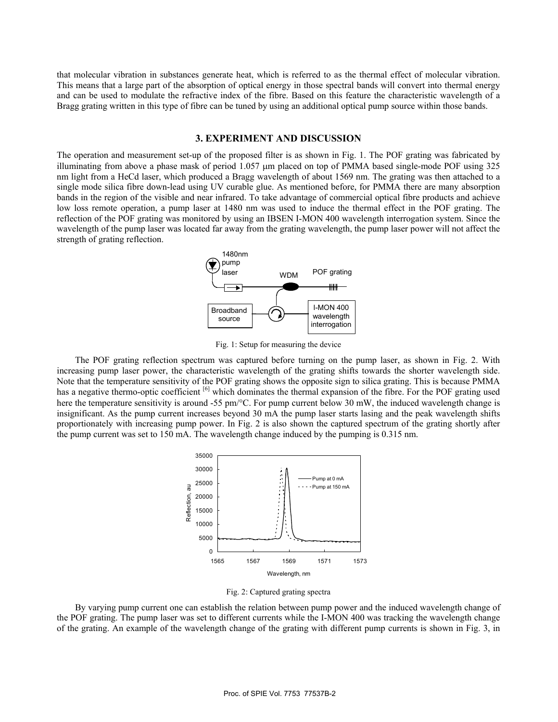that molecular vibration in substances generate heat, which is referred to as the thermal effect of molecular vibration. This means that a large part of the absorption of optical energy in those spectral bands will convert into thermal energy and can be used to modulate the refractive index of the fibre. Based on this feature the characteristic wavelength of a Bragg grating written in this type of fibre can be tuned by using an additional optical pump source within those bands.

### **3. EXPERIMENT AND DISCUSSION**

The operation and measurement set-up of the proposed filter is as shown in Fig. 1. The POF grating was fabricated by illuminating from above a phase mask of period 1.057 μm placed on top of PMMA based single-mode POF using 325 nm light from a HeCd laser, which produced a Bragg wavelength of about 1569 nm. The grating was then attached to a single mode silica fibre down-lead using UV curable glue. As mentioned before, for PMMA there are many absorption bands in the region of the visible and near infrared. To take advantage of commercial optical fibre products and achieve low loss remote operation, a pump laser at 1480 nm was used to induce the thermal effect in the POF grating. The reflection of the POF grating was monitored by using an IBSEN I-MON 400 wavelength interrogation system. Since the wavelength of the pump laser was located far away from the grating wavelength, the pump laser power will not affect the strength of grating reflection.



Fig. 1: Setup for measuring the device

The POF grating reflection spectrum was captured before turning on the pump laser, as shown in Fig. 2. With increasing pump laser power, the characteristic wavelength of the grating shifts towards the shorter wavelength side. Note that the temperature sensitivity of the POF grating shows the opposite sign to silica grating. This is because PMMA has a negative thermo-optic coefficient [6] which dominates the thermal expansion of the fibre. For the POF grating used here the temperature sensitivity is around -55 pm/°C. For pump current below 30 mW, the induced wavelength change is insignificant. As the pump current increases beyond 30 mA the pump laser starts lasing and the peak wavelength shifts proportionately with increasing pump power. In Fig. 2 is also shown the captured spectrum of the grating shortly after the pump current was set to 150 mA. The wavelength change induced by the pumping is 0.315 nm.



Fig. 2: Captured grating spectra

By varying pump current one can establish the relation between pump power and the induced wavelength change of the POF grating. The pump laser was set to different currents while the I-MON 400 was tracking the wavelength change of the grating. An example of the wavelength change of the grating with different pump currents is shown in Fig. 3, in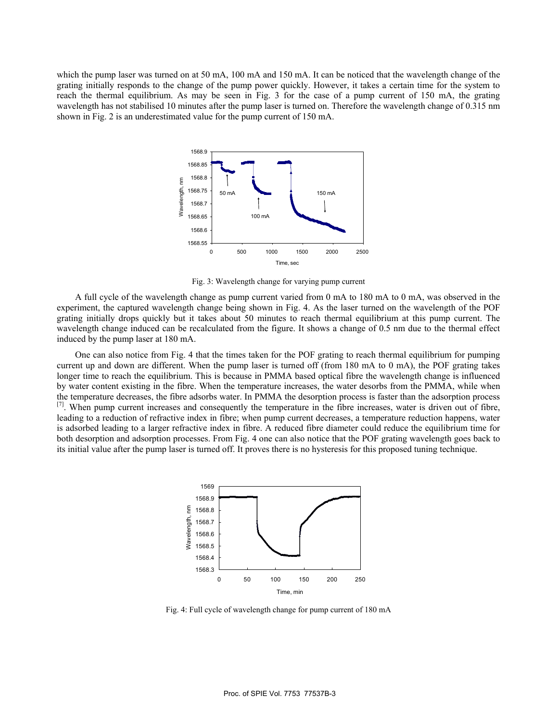which the pump laser was turned on at 50 mA, 100 mA and 150 mA. It can be noticed that the wavelength change of the grating initially responds to the change of the pump power quickly. However, it takes a certain time for the system to reach the thermal equilibrium. As may be seen in Fig. 3 for the case of a pump current of 150 mA, the grating wavelength has not stabilised 10 minutes after the pump laser is turned on. Therefore the wavelength change of 0.315 nm shown in Fig. 2 is an underestimated value for the pump current of 150 mA.



Fig. 3: Wavelength change for varying pump current

A full cycle of the wavelength change as pump current varied from 0 mA to 180 mA to 0 mA, was observed in the experiment, the captured wavelength change being shown in Fig. 4. As the laser turned on the wavelength of the POF grating initially drops quickly but it takes about 50 minutes to reach thermal equilibrium at this pump current. The wavelength change induced can be recalculated from the figure. It shows a change of 0.5 nm due to the thermal effect induced by the pump laser at 180 mA.

One can also notice from Fig. 4 that the times taken for the POF grating to reach thermal equilibrium for pumping current up and down are different. When the pump laser is turned off (from 180 mA to 0 mA), the POF grating takes longer time to reach the equilibrium. This is because in PMMA based optical fibre the wavelength change is influenced by water content existing in the fibre. When the temperature increases, the water desorbs from the PMMA, while when the temperature decreases, the fibre adsorbs water. In PMMA the desorption process is faster than the adsorption process  $[7]$ . When pump current increases and consequently the temperature in the fibre increases, water is driven out of fibre, leading to a reduction of refractive index in fibre; when pump current decreases, a temperature reduction happens, water is adsorbed leading to a larger refractive index in fibre. A reduced fibre diameter could reduce the equilibrium time for both desorption and adsorption processes. From Fig. 4 one can also notice that the POF grating wavelength goes back to its initial value after the pump laser is turned off. It proves there is no hysteresis for this proposed tuning technique.



Fig. 4: Full cycle of wavelength change for pump current of 180 mA